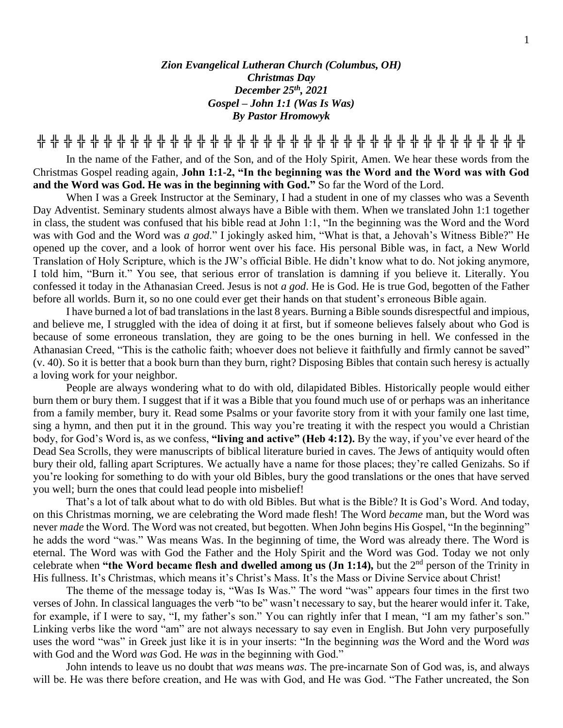## *Zion Evangelical Lutheran Church (Columbus, OH) Christmas Day December 25 th, 2021 Gospel – John 1:1 (Was Is Was) By Pastor Hromowyk*

**╬ ╬ ╬ ╬ ╬ ╬ ╬ ╬ ╬ ╬ ╬ ╬ ╬ ╬ ╬ ╬ ╬ ╬ ╬ ╬ ╬ ╬ ╬ ╬ ╬ ╬ ╬ ╬ ╬ ╬ ╬ ╬ ╬ ╬ ╬ ╬ ╬**

In the name of the Father, and of the Son, and of the Holy Spirit, Amen. We hear these words from the Christmas Gospel reading again, **John 1:1-2, "In the beginning was the Word and the Word was with God and the Word was God. He was in the beginning with God."** So far the Word of the Lord.

When I was a Greek Instructor at the Seminary, I had a student in one of my classes who was a Seventh Day Adventist. Seminary students almost always have a Bible with them. When we translated John 1:1 together in class, the student was confused that his bible read at John 1:1, "In the beginning was the Word and the Word was with God and the Word was *a god*." I jokingly asked him, "What is that, a Jehovah's Witness Bible?" He opened up the cover, and a look of horror went over his face. His personal Bible was, in fact, a New World Translation of Holy Scripture, which is the JW's official Bible. He didn't know what to do. Not joking anymore, I told him, "Burn it." You see, that serious error of translation is damning if you believe it. Literally. You confessed it today in the Athanasian Creed. Jesus is not *a god*. He is God. He is true God, begotten of the Father before all worlds. Burn it, so no one could ever get their hands on that student's erroneous Bible again.

I have burned a lot of bad translations in the last 8 years. Burning a Bible sounds disrespectful and impious, and believe me, I struggled with the idea of doing it at first, but if someone believes falsely about who God is because of some erroneous translation, they are going to be the ones burning in hell. We confessed in the Athanasian Creed, "This is the catholic faith; whoever does not believe it faithfully and firmly cannot be saved" (v. 40). So it is better that a book burn than they burn, right? Disposing Bibles that contain such heresy is actually a loving work for your neighbor.

People are always wondering what to do with old, dilapidated Bibles. Historically people would either burn them or bury them. I suggest that if it was a Bible that you found much use of or perhaps was an inheritance from a family member, bury it. Read some Psalms or your favorite story from it with your family one last time, sing a hymn, and then put it in the ground. This way you're treating it with the respect you would a Christian body, for God's Word is, as we confess, **"living and active" (Heb 4:12).** By the way, if you've ever heard of the Dead Sea Scrolls, they were manuscripts of biblical literature buried in caves. The Jews of antiquity would often bury their old, falling apart Scriptures. We actually have a name for those places; they're called Genizahs. So if you're looking for something to do with your old Bibles, bury the good translations or the ones that have served you well; burn the ones that could lead people into misbelief!

That's a lot of talk about what to do with old Bibles. But what is the Bible? It is God's Word. And today, on this Christmas morning, we are celebrating the Word made flesh! The Word *became* man, but the Word was never *made* the Word. The Word was not created, but begotten. When John begins His Gospel, "In the beginning" he adds the word "was." Was means Was. In the beginning of time, the Word was already there. The Word is eternal. The Word was with God the Father and the Holy Spirit and the Word was God. Today we not only celebrate when "the Word became flesh and dwelled among us (Jn 1:14), but the 2<sup>nd</sup> person of the Trinity in His fullness. It's Christmas, which means it's Christ's Mass. It's the Mass or Divine Service about Christ!

The theme of the message today is, "Was Is Was." The word "was" appears four times in the first two verses of John. In classical languages the verb "to be" wasn't necessary to say, but the hearer would infer it. Take, for example, if I were to say, "I, my father's son." You can rightly infer that I mean, "I am my father's son." Linking verbs like the word "am" are not always necessary to say even in English. But John very purposefully uses the word "was" in Greek just like it is in your inserts: "In the beginning *was* the Word and the Word *was* with God and the Word *was* God. He *was* in the beginning with God."

John intends to leave us no doubt that *was* means *was*. The pre-incarnate Son of God was, is, and always will be. He was there before creation, and He was with God, and He was God. "The Father uncreated, the Son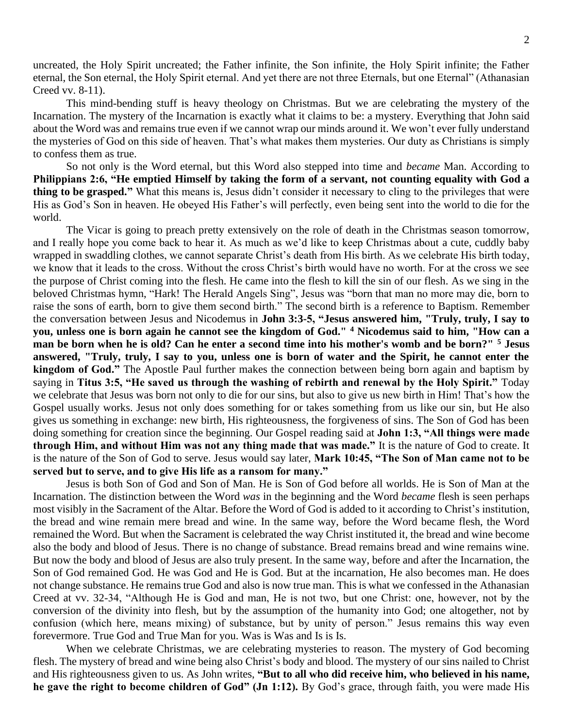uncreated, the Holy Spirit uncreated; the Father infinite, the Son infinite, the Holy Spirit infinite; the Father eternal, the Son eternal, the Holy Spirit eternal. And yet there are not three Eternals, but one Eternal" (Athanasian Creed vv. 8-11).

This mind-bending stuff is heavy theology on Christmas. But we are celebrating the mystery of the Incarnation. The mystery of the Incarnation is exactly what it claims to be: a mystery. Everything that John said about the Word was and remains true even if we cannot wrap our minds around it. We won't ever fully understand the mysteries of God on this side of heaven. That's what makes them mysteries. Our duty as Christians is simply to confess them as true.

So not only is the Word eternal, but this Word also stepped into time and *became* Man. According to **Philippians 2:6, "He emptied Himself by taking the form of a servant, not counting equality with God a thing to be grasped."** What this means is, Jesus didn't consider it necessary to cling to the privileges that were His as God's Son in heaven. He obeyed His Father's will perfectly, even being sent into the world to die for the world.

The Vicar is going to preach pretty extensively on the role of death in the Christmas season tomorrow, and I really hope you come back to hear it. As much as we'd like to keep Christmas about a cute, cuddly baby wrapped in swaddling clothes, we cannot separate Christ's death from His birth. As we celebrate His birth today, we know that it leads to the cross. Without the cross Christ's birth would have no worth. For at the cross we see the purpose of Christ coming into the flesh. He came into the flesh to kill the sin of our flesh. As we sing in the beloved Christmas hymn, "Hark! The Herald Angels Sing", Jesus was "born that man no more may die, born to raise the sons of earth, born to give them second birth." The second birth is a reference to Baptism. Remember the conversation between Jesus and Nicodemus in **John 3:3-5, "Jesus answered him, "Truly, truly, I say to you, unless one is born again he cannot see the kingdom of God." <sup>4</sup> Nicodemus said to him, "How can a man be born when he is old? Can he enter a second time into his mother's womb and be born?" <sup>5</sup> Jesus answered, "Truly, truly, I say to you, unless one is born of water and the Spirit, he cannot enter the kingdom of God."** The Apostle Paul further makes the connection between being born again and baptism by saying in **Titus 3:5, "He saved us through the washing of rebirth and renewal by the Holy Spirit."** Today we celebrate that Jesus was born not only to die for our sins, but also to give us new birth in Him! That's how the Gospel usually works. Jesus not only does something for or takes something from us like our sin, but He also gives us something in exchange: new birth, His righteousness, the forgiveness of sins. The Son of God has been doing something for creation since the beginning. Our Gospel reading said at **John 1:3, "All things were made through Him, and without Him was not any thing made that was made."** It is the nature of God to create. It is the nature of the Son of God to serve. Jesus would say later, **Mark 10:45, "The Son of Man came not to be served but to serve, and to give His life as a ransom for many."** 

Jesus is both Son of God and Son of Man. He is Son of God before all worlds. He is Son of Man at the Incarnation. The distinction between the Word *was* in the beginning and the Word *became* flesh is seen perhaps most visibly in the Sacrament of the Altar. Before the Word of God is added to it according to Christ's institution, the bread and wine remain mere bread and wine. In the same way, before the Word became flesh, the Word remained the Word. But when the Sacrament is celebrated the way Christ instituted it, the bread and wine become also the body and blood of Jesus. There is no change of substance. Bread remains bread and wine remains wine. But now the body and blood of Jesus are also truly present. In the same way, before and after the Incarnation, the Son of God remained God. He was God and He is God. But at the incarnation, He also becomes man. He does not change substance. He remains true God and also is now true man. This is what we confessed in the Athanasian Creed at vv. 32-34, "Although He is God and man, He is not two, but one Christ: one, however, not by the conversion of the divinity into flesh, but by the assumption of the humanity into God; one altogether, not by confusion (which here, means mixing) of substance, but by unity of person." Jesus remains this way even forevermore. True God and True Man for you. Was is Was and Is is Is.

When we celebrate Christmas, we are celebrating mysteries to reason. The mystery of God becoming flesh. The mystery of bread and wine being also Christ's body and blood. The mystery of our sins nailed to Christ and His righteousness given to us. As John writes, **"But to all who did receive him, who believed in his name, he gave the right to become children of God" (Jn 1:12).** By God's grace, through faith, you were made His